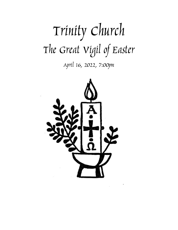# Trinity Church The Great Vigil of Easter

April 16, 2022, 7:00pm

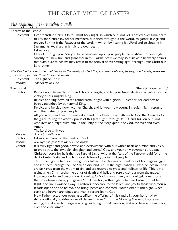## The Great Vigil of Easter

## The Lighting of the Paschal Candle

| Dear friends in Christ: On this most holy night, in which our Lord Jesus passed over from death                                                                                                                                                                                                                                                                                                                                                                                                                                                                                                                                                                                                                                                                                                                                                                                                                                                                                                                                                                                                                                                                                                                                                                                                                                                                                                                                                                                                                                                                  |
|------------------------------------------------------------------------------------------------------------------------------------------------------------------------------------------------------------------------------------------------------------------------------------------------------------------------------------------------------------------------------------------------------------------------------------------------------------------------------------------------------------------------------------------------------------------------------------------------------------------------------------------------------------------------------------------------------------------------------------------------------------------------------------------------------------------------------------------------------------------------------------------------------------------------------------------------------------------------------------------------------------------------------------------------------------------------------------------------------------------------------------------------------------------------------------------------------------------------------------------------------------------------------------------------------------------------------------------------------------------------------------------------------------------------------------------------------------------------------------------------------------------------------------------------------------------|
| to life, the Church invites her members, dispersed throughout the world, to gather in vigil and<br>prayer. For this is the Passover of the Lord, in which, by hearing his Word and celebrating his<br>Sacraments, we share in his victory over death.<br>Let us pray.<br>O God, through your Son you have bestowed upon your people the brightness of your light:<br>Sanctify this new fire, and grant that in this Paschal feast we may so burn with heavenly desires,<br>that with pure minds we may attain to the festival of everlasting light; through Jesus Christ our<br>Lord. Amen.                                                                                                                                                                                                                                                                                                                                                                                                                                                                                                                                                                                                                                                                                                                                                                                                                                                                                                                                                                      |
| The Paschal Candle is then lighted from the newly kindled fire, and the celebrant, bearing the Candle, leads the<br>procession, pausing three times and saying:<br>The Light of Christ<br>Thanks be to God                                                                                                                                                                                                                                                                                                                                                                                                                                                                                                                                                                                                                                                                                                                                                                                                                                                                                                                                                                                                                                                                                                                                                                                                                                                                                                                                                       |
| (Wendy Grace, cantor)                                                                                                                                                                                                                                                                                                                                                                                                                                                                                                                                                                                                                                                                                                                                                                                                                                                                                                                                                                                                                                                                                                                                                                                                                                                                                                                                                                                                                                                                                                                                            |
| Rejoice now, heavenly hosts and choirs of angels, and let your trumpets shout Salvation for the<br>victory of our mighty King.                                                                                                                                                                                                                                                                                                                                                                                                                                                                                                                                                                                                                                                                                                                                                                                                                                                                                                                                                                                                                                                                                                                                                                                                                                                                                                                                                                                                                                   |
| Rejoice and sing now, all the round earth, bright with a glorious splendor, for darkness has<br>been vanquished by our eternal King.                                                                                                                                                                                                                                                                                                                                                                                                                                                                                                                                                                                                                                                                                                                                                                                                                                                                                                                                                                                                                                                                                                                                                                                                                                                                                                                                                                                                                             |
| Rejoice and be glad now, Mother Church, and let your holy courts, in radiant light, resound<br>with the praises of your people.                                                                                                                                                                                                                                                                                                                                                                                                                                                                                                                                                                                                                                                                                                                                                                                                                                                                                                                                                                                                                                                                                                                                                                                                                                                                                                                                                                                                                                  |
| All you who stand near this marvelous and holy flame, pray with me to God the Almighty for<br>the grace to sing the worthy praise of this great light; through Jesus Christ his Son our Lord,<br>who lives and reigns with him, in the unity of the Holy Spirit, one God, for ever and ever.<br>Amen.                                                                                                                                                                                                                                                                                                                                                                                                                                                                                                                                                                                                                                                                                                                                                                                                                                                                                                                                                                                                                                                                                                                                                                                                                                                            |
| The Lord be with you.                                                                                                                                                                                                                                                                                                                                                                                                                                                                                                                                                                                                                                                                                                                                                                                                                                                                                                                                                                                                                                                                                                                                                                                                                                                                                                                                                                                                                                                                                                                                            |
| And also with you.                                                                                                                                                                                                                                                                                                                                                                                                                                                                                                                                                                                                                                                                                                                                                                                                                                                                                                                                                                                                                                                                                                                                                                                                                                                                                                                                                                                                                                                                                                                                               |
| Let us give thanks to the Lord our God.<br>It is right to give him thanks and praise.                                                                                                                                                                                                                                                                                                                                                                                                                                                                                                                                                                                                                                                                                                                                                                                                                                                                                                                                                                                                                                                                                                                                                                                                                                                                                                                                                                                                                                                                            |
| It is truly right and good, always and everywhere, with our whole heart and mind and voice,<br>to praise you, the invisible, almighty, and eternal God, and your only-begotten Son, Jesus<br>Christ our Lord; for he is the true Paschal Lamb, who at the feast of the Passover paid for us the<br>debt of Adam's sin, and by his blood delivered your faithful people.<br>This is the night, when you brought our fathers, the children of Israel, out of bondage in Egypt,<br>and led them through the Red Sea on dry land. This is the night, when all who believe in Christ<br>are delivered from the gloom of sin, and are restored to grace and holiness of life. This is the<br>night, when Christ broke the bonds of death and hell, and rose victorious from the grave.<br>How wonderful and beyond our knowing, O God, is your mercy and loving-kindness to us,<br>that to redeem a slave, you gave a Son. How holy is this night, when wickedness is put to<br>flight, and sin is washed away. It restores innocence to the fallen, and joy to those who mourn.<br>It casts out pride and hatred, and brings peace and concord. How blessed is this night, when<br>earth and heaven are joined and man is reconciled to God.<br>Holy Father, accept our evening sacrifice, the offering of this candle in your honor. May it<br>shine continually to drive away all darkness. May Christ, the Morning Star who knows no<br>setting, find it ever burning-he who gives his light to all creation, and who lives and reigns for<br>ever and ever. Amen. |
|                                                                                                                                                                                                                                                                                                                                                                                                                                                                                                                                                                                                                                                                                                                                                                                                                                                                                                                                                                                                                                                                                                                                                                                                                                                                                                                                                                                                                                                                                                                                                                  |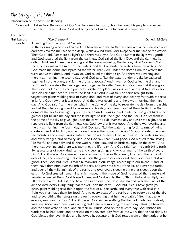## Introduction of the Scripture Readings

Celebrant: Let us hear the record of God's saving deeds in history, how he saved his people in ages past; and let us pray that our God will bring each of us to the fullness of redemption.

| The Record    |                                                                                                                                                                                                           |
|---------------|-----------------------------------------------------------------------------------------------------------------------------------------------------------------------------------------------------------|
| First Lesson: | (The Creation)<br>Genesis 1:1-2:4a                                                                                                                                                                        |
| Reader:       | A reading from the book of Genesis.                                                                                                                                                                       |
|               | In the beginning when God created the heavens and the earth, the earth was a formless void and                                                                                                            |
|               | darkness covered the face of the deep, while a wind from God swept over the face of the waters.<br>Then God said, "Let there be light"; and there was light. And God saw that the light was good;         |
|               | and God separated the light from the darkness. God called the light Day, and the darkness he                                                                                                              |
|               | called Night. And there was evening and there was morning, the first day. And God said, "Let                                                                                                              |
|               | there be a dome in the midst of the waters, and let it separate the waters from the waters." So                                                                                                           |
|               | God made the dome and separated the waters that were under the dome from the waters that                                                                                                                  |
|               | were above the dome. And it was so. God called the dome Sky. And there was evening and                                                                                                                    |
|               | there was morning, the second day. And God said, "Let the waters under the sky be gathered                                                                                                                |
|               | together into one place, and let the dry land appear." And it was so. God called the dry land                                                                                                             |
|               | Earth, and the waters that were gathered together he called Seas. And God saw that it was good.<br>Then God said, "Let the earth put forth vegetation: plants yielding seed, and fruit trees of every     |
|               | kind on earth that bear fruit with the seed in it." And it was so. The earth brought forth                                                                                                                |
|               | vegetation: plants yielding seed of every kind, and trees of every kind bearing fruit with the seed                                                                                                       |
|               | in it. And God saw that it was good. And there was evening and there was morning, the third                                                                                                               |
|               | day. And God said, "Let there be lights in the dome of the sky to separate the day from the night;                                                                                                        |
|               | and let them be for signs and for seasons and for days and years, and let them be lights in the                                                                                                           |
|               | dome of the sky to give light upon the earth." And it was so. God made the two great lights--the                                                                                                          |
|               | greater light to rule the day and the lesser light to rule the night--and the stars. God set them in<br>the dome of the sky to give light upon the earth, to rule over the day and over the night, and to |
|               | separate the light from the darkness. And God saw that it was good. And there was evening and                                                                                                             |
|               | there was morning, the fourth day. And God said, "Let the waters bring forth swarms of living                                                                                                             |
|               | creatures, and let birds fly above the earth across the dome of the sky." So God created the great                                                                                                        |
|               | sea monsters and every living creature that moves, of every kind, with which the waters swarm,                                                                                                            |
|               | and every winged bird of every kind. And God saw that it was good. God blessed them, saying,                                                                                                              |
|               | "Be fruitful and multiply and fill the waters in the seas, and let birds multiply on the earth." And                                                                                                      |
|               | there was evening and there was morning, the fifth day. And God said, "Let the earth bring forth                                                                                                          |
|               | living creatures of every kind: cattle and creeping things and wild animals of the earth of every<br>kind." And it was so. God made the wild animals of the earth of every kind, and the cattle of        |
|               | every kind, and everything that creeps upon the ground of every kind. And God saw that it was                                                                                                             |
|               | good. Then God said, "Let us make humankind in our image, according to our likeness; and let                                                                                                              |
|               | them have dominion over the fish of the sea, and over the birds of the air, and over the cattle,                                                                                                          |
|               | and over all the wild animals of the earth, and over every creeping thing that creeps upon the                                                                                                            |
|               | earth." So God created humankind in his image, in the image of God he created them; male and                                                                                                              |
|               | female he created them. God blessed them, and God said to them, "Be fruitful and multiply, and                                                                                                            |
|               | fill the earth and subdue it; and have dominion over the fish of the sea and over the birds of the                                                                                                        |
|               | air and over every living thing that moves upon the earth." God said, "See, I have given you<br>every plant yielding seed that is upon the face of all the earth, and every tree with seed in its         |
|               | fruit; you shall have them for food. And to every beast of the earth, and to every bird of the air,                                                                                                       |
|               | and to everything that creeps on the earth, everything that has the breath of life, I have given                                                                                                          |
|               | every green plant for food." And it was so. God saw everything that he had made, and indeed, it                                                                                                           |
|               | was very good. And there was evening and there was morning, the sixth day. Thus the heavens                                                                                                               |
|               | and the earth were finished, and all their multitude. And on the seventh day God finished the                                                                                                             |
|               | work that he had done, and he rested on the seventh day from all the work that he had done. So                                                                                                            |
|               | God blessed the seventh day and hallowed it, because on it God rested from all the work that he                                                                                                           |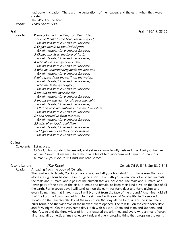had done in creation. These are the generations of the heavens and the earth when they were created.

The Word of the Lord.

Reader: Please join me in reciting from Psalm 136.

People: Thanks be to God.

Psalm Psalm 136:1-9, 23-26

| 1 O give thanks to the Lord, for he is good,     |
|--------------------------------------------------|
| for his steadfast love endures for ever.         |
| 2 O give thanks to the God of gods,              |
| for his steadfast love endures for ever.         |
| 3 O give thanks to the Lord of lords,            |
| for his steadfast love endures for ever;         |
| 4 who alone does great wonders,                  |
| for his steadfast love endures for ever:         |
| 5 who by understanding made the heavens,         |
| for his steadfast love endures for ever;         |
| 6 who spread out the earth on the waters,        |
| for his steadfast love endures for ever:         |
| 7 who made the great lights,                     |
| for his steadfast love endures for ever;         |
| 8 the sun to rule over the day,                  |
| for his steadfast love endures for ever:         |
| 9 the moon and stars to rule over the night,     |
| for his steadfast love endures for ever;         |
| 23 It is he who remembered us in our low estate. |
| for his steadfast love endures for ever;         |
| 24 and rescued us from our foes,                 |
| for his steadfast love endures for ever:         |
| 25 who gives food to all flesh,                  |
| for his steadfast love endures for ever.         |
| 26 O give thanks to the God of heaven,           |
| for his steadfast love endures for ever.         |
|                                                  |

### Collect

Celebrant: Let us pray.

O God, who wonderfully created, and yet more wonderfully restored, the dignity of human nature: Grant that we may share the divine life of him who humbled himself to share our humanity, your Son Jesus Christ our Lord. Amen.

#### Second Lesson: (The Flood) Genesis 7:1-5, 11-18, 8:6-18, 9:8-13

Reader: A reading from the book of Genesis.

The Lord said to Noah, "Go into the ark, you and all your household, for I have seen that you alone are righteous before me in this generation. Take with you seven pairs of all clean animals, the male and its mate; and a pair of the animals that are not clean, the male and its mate; and seven pairs of the birds of the air also, male and female, to keep their kind alive on the face of all the earth. For in seven days I will send rain on the earth for forty days and forty nights; and every living thing that I have made I will blot out from the face of the ground." And Noah did all that the Lord had commanded him. In the six hundredth year of Noah's life, in the second month, on the seventeenth day of the month, on that day all the fountains of the great deep burst forth, and the windows of the heavens were opened. The rain fell on the earth forty days and forty nights. On the very same day Noah with his sons, Shem and Ham and Japheth, and Noah's wife and the three wives of his sons entered the ark, they and every wild animal of every kind, and all domestic animals of every kind, and every creeping thing that creeps on the earth,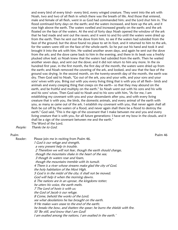and every bird of every kind-- every bird, every winged creature. They went into the ark with Noah, two and two of all flesh in which there was the breath of life. And those that entered, male and female of all flesh, went in as God had commanded him; and the Lord shut him in. The flood continued forty days on the earth; and the waters increased, and bore up the ark, and it rose high above the earth. The waters swelled and increased greatly on the earth; and the ark floated on the face of the waters. At the end of forty days Noah opened the window of the ark that he had made and sent out the raven; and it went to and fro until the waters were dried up from the earth. Then he sent out the dove from him, to see if the waters had subsided from the face of the ground; but the dove found no place to set its foot, and it returned to him to the ark, for the waters were still on the face of the whole earth. So he put out his hand and took it and brought it into the ark with him. He waited another seven days, and again he sent out the dove from the ark; and the dove came back to him in the evening, and there in its beak was a freshly plucked olive leaf; so Noah knew that the waters had subsided from the earth. Then he waited another seven days, and sent out the dove; and it did not return to him any more. In the six hundred first year, in the first month, the first day of the month, the waters were dried up from the earth; and Noah removed the covering of the ark, and looked, and saw that the face of the ground was drying. In the second month, on the twenty-seventh day of the month, the earth was dry. Then God said to Noah, "Go out of the ark, you and your wife, and your sons and your sons' wives with you. Bring out with you every living thing that is with you of all flesh-- birds and animals and every creeping thing that creeps on the earth-- so that they may abound on the earth, and be fruitful and multiply on the earth." So Noah went out with his sons and his wife and his sons' wives. Then God said to Noah and to his sons with him, "As for me, I am establishing my covenant with you and your descendants after you, and with every living creature that is with you, the birds, the domestic animals, and every animal of the earth with you, as many as came out of the ark. I establish my covenant with you, that never again shall all flesh be cut off by the waters of a flood, and never again shall there be a flood to destroy the earth." God said, "This is the sign of the covenant that I make between me and you and every living creature that is with you, for all future generations: I have set my bow in the clouds, and it shall be a sign of the covenant between me and the earth." The Word of the Lord.

People: Thanks be to God.

Psalm Psalm 46

Reader: Please join me in reciting from Psalm 46. 1 God is our refuge and strength, a very present help in trouble. 2 Therefore we will not fear, though the earth should change, though the mountains shake in the heart of the sea; 3 though its waters roar and foam, though the mountains tremble with its tumult. 4 There is a river whose streams make glad the city of God, the holy habitation of the Most High. 5 God is in the midst of the city; it shall not be moved; God will help it when the morning dawns. 6 The nations are in an uproar, the kingdoms totter; he utters his voice, the earth melts. 7 The Lord of hosts is with us; the God of Jacob is our refuge. 8 Come, behold the works of the Lord; see what desolations he has brought on the earth. 9 He makes wars cease to the end of the earth; he breaks the bow, and shatters the spear; he burns the shields with fire. 10 'Be still, and know that I am God! I am exalted among the nations, I am exalted in the earth.'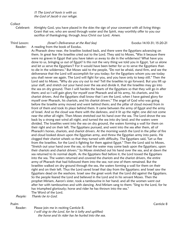11 The Lord of hosts is with us; the God of Jacob is our refuge.

### Collect

Celebrant: Almighty God, you have placed in the skies the sign of your covenant with all living things: Grant that we, who are saved through water and the Spirit, may worthily offer to you our sacrifice of thanksgiving; through Jesus Christ our Lord. Amen.

Third Lesson: (Israel's Deliverance at the Red Sea) Exodus 14:10-31; 15:20-21 Reader: A reading from the book of Exodus.

> As Pharaoh drew near, the Israelites looked back, and there were the Egyptians advancing on them. In great fear the Israelites cried out to the Lord. They said to Moses, "Was it because there were no graves in Egypt that you have taken us away to die in the wilderness? What have you done to us, bringing us out of Egypt? Is this not the very thing we told you in Egypt, 'Let us alone and let us serve the Egyptians'? For it would have been better for us to serve the Egyptians than to die in the wilderness." But Moses said to the people, "Do not be afraid, stand firm, and see the deliverance that the Lord will accomplish for you today; for the Egyptians whom you see today you shall never see again. The Lord will fight for you, and you have only to keep still." Then the Lord said to Moses, "Why do you cry out to me? Tell the Israelites to go forward. But you lift up your staff, and stretch out your hand over the sea and divide it, that the Israelites may go into the sea on dry ground. Then I will harden the hearts of the Egyptians so that they will go in after them; and so I will gain glory for myself over Pharaoh and all his army, his chariots, and his chariot drivers. And the Egyptians shall know that I am the Lord, when I have gained glory for myself over Pharaoh, his chariots, and his chariot drivers." The angel of God who was going before the Israelite army moved and went behind them; and the pillar of cloud moved from in front of them and took its place behind them. It came between the army of Egypt and the army of Israel. And so the cloud was there with the darkness, and it lit up the night; one did not come near the other all night. Then Moses stretched out his hand over the sea. The Lord drove the sea back by a strong east wind all night, and turned the sea into dry land; and the waters were divided. The Israelites went into the sea on dry ground, the waters forming a wall for them on their right and on their left. The Egyptians pursued, and went into the sea after them, all of Pharaoh's horses, chariots, and chariot drivers. At the morning watch the Lord in the pillar of fire and cloud looked down upon the Egyptian army, and threw the Egyptian army into panic. He clogged their chariot wheels so that they turned with difficulty. The Egyptians said, "Let us flee from the Israelites, for the Lord is fighting for them against Egypt." Then the Lord said to Moses, "Stretch out your hand over the sea, so that the water may come back upon the Egyptians, upon their chariots and chariot drivers." So Moses stretched out his hand over the sea, and at dawn the sea returned to its normal depth. As the Egyptians fled before it, the Lord tossed the Egyptians into the sea. The waters returned and covered the chariots and the chariot drivers, the entire army of Pharaoh that had followed them into the sea; not one of them remained. But the Israelites walked on dry ground through the sea, the waters forming a wall for them on their right and on their left. Thus the Lord saved Israel that day from the Egyptians; and Israel saw the Egyptians dead on the seashore. Israel saw the great work that the Lord did against the Egyptians. So the people feared the Lord and believed in the Lord and in his servant Moses. Then the prophet Miriam, Aaron's sister, took a tambourine in her hand; and all the women went out after her with tambourines and with dancing. And Miriam sang to them: "Sing to the Lord, for he has triumphed gloriously; horse and rider he has thrown into the sea." The Word of the Lord.

People: Thanks be to God.

Reader: Please join me in reciting Canticle 8. I will sing to the Lord, for he is lofty and uplifted; the horse and its rider has he hurled into the sea.

Psalm Canticle 8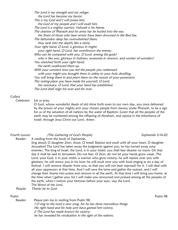The Lord is my strength and my refuge; the Lord has become my Savior. This is my God and I will praise him, the God of my people and I will exalt him. The Lord is a mighty warrior; Yahweh is his Name. The chariots of Pharaoh and his army has he hurled into the sea; the finest of those who bear armor have been drowned in the Red Sea. The fathomless deep has overwhelmed them; they sank into the depths like a stone. Your right hand, O Lord, is glorious in might; your right hand, O Lord, has overthrown the enemy. Who can be compared with you, O Lord, among the gods? who is like you, glorious in holiness, awesome in renown, and worker of wonders? You stretched forth your right hand; the earth swallowed them up. With your constant love you led the people you redeemed; with your might you brought them in safety to your holy dwelling. You will bring them in and plant them on the mount of your possession, The resting-place you have made for yourself, O Lord, the sanctuary, O Lord, that your hand has established. The Lord shall reign for ever and for ever.

## Collect

Celebrant: Let us pray.

O God, whose wonderful deeds of old shine forth even to our own day, you once delivered by the power of your mighty arm your chosen people from slavery under Pharaoh, to be a sign for us of the salvation of all nations by the water of Baptism: Grant that all the peoples of the earth may be numbered among the offspring of Abraham, and rejoice in the inheritance of Israel; through Jesus Christ our Lord. Amen.

Fourth Lesson: (The Gathering of God's People) Zephaniah 3:14-20

Reader: A reading from the book of Zephaniah. Sing aloud, O daughter Zion; shout, O Israel! Rejoice and exult with all your heart, O daughter Jerusalem! The Lord has taken away the judgments against you, he has turned away your enemies. The king of Israel, the Lord, is in your midst; you shall fear disaster no more. On that day it shall be said to Jerusalem: Do not fear, O Zion; do not let your hands grow weak. The Lord, your God, is in your midst, a warrior who gives victory; he will rejoice over you with gladness, he will renew you in his love; he will exult over you with loud singing as on a day of festival. I will remove disaster from you, so that you will not bear reproach for it. I will deal with all your oppressors at that time. And I will save the lame and gather the outcast, and I will change their shame into praise and renown in all the earth. At that time I will bring you home, at the time when I gather you; for I will make you renowned and praised among all the peoples of the earth, when I restore your fortunes before your eyes, says the Lord. The Word of the Lord.

People: Thanks be to God.

Reader: Please join me in reciting from Psalm 98. 1 O sing to the Lord a new song, for he has done marvellous things. His right hand and his holy arm have gained him victory. 2 The Lord has made known his victory; he has revealed his vindication in the sight of the nations.

Psalm Psalm 98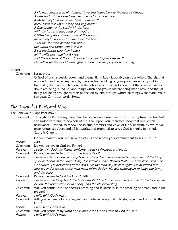3 He has remembered his steadfast love and faithfulness to the house of Israel. All the ends of the earth have seen the victory of our God. 4 Make a joyful noise to the Lord, all the earth; break forth into joyous song and sing praises. 5 Sing praises to the Lord with the lyre, with the lyre and the sound of melody. 6 With trumpets and the sound of the horn make a joyful noise before the King, the Lord. 7 Let the sea roar, and all that fills it; the world and those who live in it. 8 Let the floods clap their hands; let the hills sing together for joy 9 at the presence of the Lord, for he is coming to judge the earth. He will judge the world with righteousness, and the peoples with equity.

## Collect

Celebrant: Let us pray.

O God of unchangeable power and eternal light: Look favorably on your whole Church, that wonderful and sacred mystery; by the effectual working of your providence, carry out in tranquility the plan of salvation; let the whole world see and know that things which were cast down are being raised up, and things which had grown old are being made new, and that all things are being brought to their perfection by him through whom all things were made, your Son Jesus Christ our Lord. Amen.

## The Renewal of Baptismal Vows<br>The Renewal of Baptismal Vows

| The Renewal of Baptismal Vows |            |                                                                                                                                                                                                                                                                                                                                                                                                           |
|-------------------------------|------------|-----------------------------------------------------------------------------------------------------------------------------------------------------------------------------------------------------------------------------------------------------------------------------------------------------------------------------------------------------------------------------------------------------------|
|                               | Celebrant: | Through the Paschal mystery, dear friends, we are buried with Christ by Baptism into his death,<br>and raised with him to newness of life. I call upon you, therefore, now that our Lenten<br>observance is ended, to renew the solemn promises and vows of Holy Baptism, by which we<br>once renounced Satan and all his works, and promised to serve God faithfully in his holy<br>Catholic Church.     |
|                               | People:    | Do you reaffirm your renunciation of evil and renew your commitment to Jesus Christ?<br>$1$ do.                                                                                                                                                                                                                                                                                                           |
|                               | Celebrant: | Do you believe in God the Father?                                                                                                                                                                                                                                                                                                                                                                         |
|                               | People:    | I believe in God, the Father almighty, creator of heaven and earth.                                                                                                                                                                                                                                                                                                                                       |
|                               | Celebrant: | Do you believe in Jesus Christ, the Son of God?                                                                                                                                                                                                                                                                                                                                                           |
|                               | People:    | I believe inJesus Christ, his only Son, our Lord. He was conceived by the power of the Holy<br>Spirit and born of the Virgin Mary. He suffered under Pontius Pilate, was crucified, died, and<br>was buried. He descended to the dead. On the third day he rose again. He ascended into<br>heaven, and is seated at the right hand of the Father. He will come again to judge the living<br>and the dead. |
|                               | Celebrant: | Do you believe in God the Holy Spirit?                                                                                                                                                                                                                                                                                                                                                                    |
|                               | People:    | I believe in the Holy Spirit, the holy catholic Church, the communion of saints, the forgiveness<br>of sins, the resurrection of the body, and the life everlasting.                                                                                                                                                                                                                                      |
|                               | Celebrant: | Will you continue in the apostles' teaching and fellowship, in the breaking of bread, and in the<br>prayers?                                                                                                                                                                                                                                                                                              |
|                               | People:    | I will, with God's help.                                                                                                                                                                                                                                                                                                                                                                                  |
|                               | Celebrant: | Will you persevere in resisting evil, and, whenever you fall into sin, repent and return to the<br>Lord?                                                                                                                                                                                                                                                                                                  |
|                               | People:    | I will, with God's help.                                                                                                                                                                                                                                                                                                                                                                                  |
|                               | Celebrant: | Will you proclaim by word and example the Good News of God in Christ?                                                                                                                                                                                                                                                                                                                                     |
|                               | People:    | I will, with God's help.                                                                                                                                                                                                                                                                                                                                                                                  |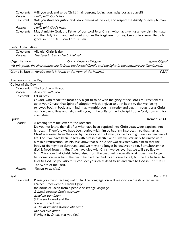Celebrant: Will you seek and serve Christ in all persons, loving your neighbor as yourself? People: I will, with God's help. Celebrant: Will you strive for justice and peace among all people, and respect the dignity of every human being? People: I will, with God's help. Celebrant: May Almighty God, the Father of our Lord Jesus Christ, who has given us a new birth by water and the Holy Spirit, and bestowed upon us the forgiveness of sins, keep us in eternal life by his

#### Easter Acclamation

Celebrant: Alleluia! Christ is risen. People: The Lord is risen indeed. Alleluia!

Organ Fanfare **Eugene City Crand Choeur Dialogue** Creation Controller Eugene Gigout (At this point, the altar candles are lit from the Paschal Candle and the lights in the sanctuary are illuminated.)

Gloria in Excelsis *(service music is found at the front of the hymnal)* S 277

grace, in Christ Jesus our Lord. Amen.

| The Lessons of the Day |                                                                                                                                                                                                                                                                                                                                                                                                                                                                                                                                                                                                                                                                                                                                                                                                                                                                                                                                                                                                                                |  |
|------------------------|--------------------------------------------------------------------------------------------------------------------------------------------------------------------------------------------------------------------------------------------------------------------------------------------------------------------------------------------------------------------------------------------------------------------------------------------------------------------------------------------------------------------------------------------------------------------------------------------------------------------------------------------------------------------------------------------------------------------------------------------------------------------------------------------------------------------------------------------------------------------------------------------------------------------------------------------------------------------------------------------------------------------------------|--|
| Collect of the Day     |                                                                                                                                                                                                                                                                                                                                                                                                                                                                                                                                                                                                                                                                                                                                                                                                                                                                                                                                                                                                                                |  |
| Celebrant:             | The Lord be with you.                                                                                                                                                                                                                                                                                                                                                                                                                                                                                                                                                                                                                                                                                                                                                                                                                                                                                                                                                                                                          |  |
| People:                | And also with you.                                                                                                                                                                                                                                                                                                                                                                                                                                                                                                                                                                                                                                                                                                                                                                                                                                                                                                                                                                                                             |  |
| Celebrant:             | Let us pray.                                                                                                                                                                                                                                                                                                                                                                                                                                                                                                                                                                                                                                                                                                                                                                                                                                                                                                                                                                                                                   |  |
|                        | O God, who made this most holy night to shine with the glory of the Lord's resurrection: Stir<br>up in your Church that Spirit of adoption which is given to us in Baptism, that we, being<br>renewed both in body and mind, may worship you in sincerity and truth; through Jesus Christ<br>our Lord, who lives and reigns with you, in the unity of the Holy Spirit, one God, now and for<br>ever. Amen.                                                                                                                                                                                                                                                                                                                                                                                                                                                                                                                                                                                                                     |  |
| Epistle                | Romans 6:3-11                                                                                                                                                                                                                                                                                                                                                                                                                                                                                                                                                                                                                                                                                                                                                                                                                                                                                                                                                                                                                  |  |
| Reader:                | A reading from the letter to the Romans;                                                                                                                                                                                                                                                                                                                                                                                                                                                                                                                                                                                                                                                                                                                                                                                                                                                                                                                                                                                       |  |
|                        | Do you not know that all of us who have been baptized into Christ Jesus were baptized into<br>his death? Therefore we have been buried with him by baptism into death, so that, just as<br>Christ was raised from the dead by the glory of the Father, so we too might walk in newness of<br>life. For if we have been united with him in a death like his, we will certainly be united with<br>him in a resurrection like his. We know that our old self was crucified with him so that the<br>body of sin might be destroyed, and we might no longer be enslaved to sin. For whoever has<br>died is freed from sin. But if we have died with Christ, we believe that we will also live with<br>him. We know that Christ, being raised from the dead, will never die again; death no longer<br>has dominion over him. The death he died, he died to sin, once for all; but the life he lives, he<br>lives to God. So you also must consider yourselves dead to sin and alive to God in Christ Jesus.<br>The Word of the Lord. |  |
| People:                | Thanks be to God.                                                                                                                                                                                                                                                                                                                                                                                                                                                                                                                                                                                                                                                                                                                                                                                                                                                                                                                                                                                                              |  |
| Psalm                  | Psalm 114                                                                                                                                                                                                                                                                                                                                                                                                                                                                                                                                                                                                                                                                                                                                                                                                                                                                                                                                                                                                                      |  |
| Celebrant:             | Please join me in reciting Psalm 114. The congregation will respond on the italicized verses.<br>1 When Israel went out from Egypt,<br>the house of Jacob from a people of strange language,<br>2 Judah became God's sanctuary,<br>Israel his dominion.<br>3 The sea looked and fled;<br>Jordan turned back.                                                                                                                                                                                                                                                                                                                                                                                                                                                                                                                                                                                                                                                                                                                   |  |
|                        | 4 The mountains skipped like rams,<br>the hills like lambs.                                                                                                                                                                                                                                                                                                                                                                                                                                                                                                                                                                                                                                                                                                                                                                                                                                                                                                                                                                    |  |
|                        | 5 Why is it, O sea, that you flee?                                                                                                                                                                                                                                                                                                                                                                                                                                                                                                                                                                                                                                                                                                                                                                                                                                                                                                                                                                                             |  |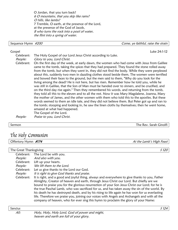O Jordan, that you turn back? 6 O mountains, that you skip like rams? O hills, like lambs? 7 Tremble, O earth, at the presence of the Lord, at the presence of the God of Jacob, 8 who turns the rock into a pool of water, the flint into a spring of water.

Sequence Hymn #200 Come, ye faithful, raise the strain

Gospel Luke 24:1-12

Celebrant: The Holy Gospel of our Lord Jesus Christ according to Luke. People: Glory to you, Lord Christ. Celebrant: On the first day of the week, at early dawn, the women who had come with Jesus from Galilee came to the tomb, taking the spices that they had prepared. They found the stone rolled away from the tomb, but when they went in, they did not find the body. While they were perplexed about this, suddenly two men in dazzling clothes stood beside them. The women were terrified and bowed their faces to the ground, but the men said to them, "Why do you look for the living among the dead? He is not here, but has risen. Remember how he told you, while he was still in Galilee, that the Son of Man must be handed over to sinners, and be crucified, and on the third day rise again." Then they remembered his words, and returning from the tomb, they told all this to the eleven and to all the rest. Now it was Mary Magdalene, Joanna, Mary the mother of James, and the other women with them who told this to the apostles. But these words seemed to them an idle tale, and they did not believe them. But Peter got up and ran to the tomb; stooping and looking in, he saw the linen cloths by themselves; then he went home, amazed at what had happened. The Gospel of the Lord.

People: Praise to you, Lord Christ.

Sermon The Rev. Sarah Ginolfi

## The Holy Communion

Offertory Hymn #174 **At the Lamb's High Feast** 

|                                                                                       | The Great Thanksgiving<br>S 120                                                                                                                                                                                                                                                                                                                                                                                                                                                                                                                                                                                                                                                                                                                                                                                                                                                     |       |
|---------------------------------------------------------------------------------------|-------------------------------------------------------------------------------------------------------------------------------------------------------------------------------------------------------------------------------------------------------------------------------------------------------------------------------------------------------------------------------------------------------------------------------------------------------------------------------------------------------------------------------------------------------------------------------------------------------------------------------------------------------------------------------------------------------------------------------------------------------------------------------------------------------------------------------------------------------------------------------------|-------|
| Celebrant:<br>People:<br>Celebrant:<br>People:<br>Celebrant:<br>People:<br>Celebrant: | The Lord be with you.<br>And also with you.<br>Lift up your hearts.<br>We lift them to the Lord.<br>Let us give thanks to the Lord our God.<br>It is right to give God thanks and praise.<br>It is right, and a good and joyful thing, always and everywhere to give thanks to you, Father<br>Almighty, Creator of heaven and earth, through Jesus Christ our Lord. But chiefly are we<br>bound to praise you for the glorious resurrection of your Son Jesus Christ our Lord; for he is<br>the true Paschal Lamb, who was sacrificed for us, and has taken away the sin of the world. By<br>his death he has destroyed death, and by his rising to life again he has won for us everlasting<br>life. Therefore we praise you, joining our voices with Angels and Archangels and with all the<br>company of heaven, who for ever sing this hymn to proclaim the glory of your Name: |       |
| Sanctus                                                                               |                                                                                                                                                                                                                                                                                                                                                                                                                                                                                                                                                                                                                                                                                                                                                                                                                                                                                     | S 124 |

## All: Holy, Holy, Holy Lord, God of power and might, heaven and earth are full of your glory.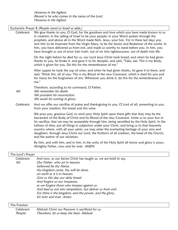Hosanna in the highest. Blessed is he who comes in the name of the Lord. Hosanna in the highest.

| Eucharistic Prayer B (People stand or kneel as able.) |                                                                                                                                                                                                                                                                                                                                                                                                                                                                                                                                                                                                                                        |  |
|-------------------------------------------------------|----------------------------------------------------------------------------------------------------------------------------------------------------------------------------------------------------------------------------------------------------------------------------------------------------------------------------------------------------------------------------------------------------------------------------------------------------------------------------------------------------------------------------------------------------------------------------------------------------------------------------------------|--|
| Celebrant:                                            | We give thanks to you, O God, for the goodness and love which you have made known to us<br>in creation; in the calling of Israel to be your people; in your Word spoken through the<br>prophets; and above all in the Word made flesh, Jesus, your Son. For in these last days you<br>sent him to be incarnate from the Virgin Mary, to be the Savior and Redeemer of the world. In<br>him, you have delivered us from evil, and made us worthy to stand before you. In him, you<br>have brought us out of error into truth, out of sin into righteousness, out of death into life.                                                    |  |
|                                                       | On the night before he died for us, our Lord Jesus Christ took bread; and when he had given<br>thanks to you, he broke it, and gave it to his disciples, and said, "Take, eat: This is my Body,<br>which is given for you. Do this for the remembrance of me."                                                                                                                                                                                                                                                                                                                                                                         |  |
|                                                       | After supper he took the cup of wine; and when he had given thanks, he gave it to them, and<br>said, "Drink this, all of you: This is my Blood of the new Covenant, which is shed for you and<br>for many for the forgiveness of sins. Whenever you drink it, do this for the remembrance of<br>me."                                                                                                                                                                                                                                                                                                                                   |  |
| All:                                                  | Therefore, according to his command, O Father,<br>We remember his death,<br>We proclaim his resurrection,<br>We await his coming in glory;                                                                                                                                                                                                                                                                                                                                                                                                                                                                                             |  |
| Celebrant:                                            | And we offer our sacrifice of praise and thanksgiving to you, O Lord of all; presenting to you,<br>from your creation, this bread and this wine.                                                                                                                                                                                                                                                                                                                                                                                                                                                                                       |  |
|                                                       | We pray you, gracious God, to send your Holy Spirit upon these gifts that they may be the<br>Sacrament of the Body of Christ and his Blood of the new Covenant. Unite us to your Son in<br>his sacrifice, that we may be acceptable through him, being sanctified by the Holy Spirit. In the<br>fullness of time, put all things in subjection under your Christ, and bring us to that heavenly<br>country where, with all your saints, we may enter the everlasting heritage of your sons and<br>daughters; through Jesus Christ our Lord, the firstborn of all creation, the head of the Church,<br>and the author of our salvation. |  |
|                                                       | By him, and with him, and in him, in the unity of the Holy Spirit all honor and glory is yours,<br>Almighty Father, now and for ever. AMEN.                                                                                                                                                                                                                                                                                                                                                                                                                                                                                            |  |
| The Lord's Prayer                                     |                                                                                                                                                                                                                                                                                                                                                                                                                                                                                                                                                                                                                                        |  |
| Celebrant:<br>All:                                    | And now, as our Savior Christ has taught us, we are bold to say,<br>Our Father, who art in heaven,<br>hallowed be thy Name,<br>thy kingdom come, thy will be done,<br>on earth as it is in heaven.<br>Give us this day our daily bread.<br>And forgive us our trespasses,<br>as we forgive those who trespass against us.<br>And lead us not into temptation, but deliver us from evil.<br>For thine is the kingdom, and the power, and the glory,<br>for ever and ever. Amen.                                                                                                                                                         |  |

## The Fraction

| Celebrant: | Alleluia! Christ our Passover is sacrificed for us. |
|------------|-----------------------------------------------------|
| People:    | Therefore, let us keep the feast. Alleluia!         |